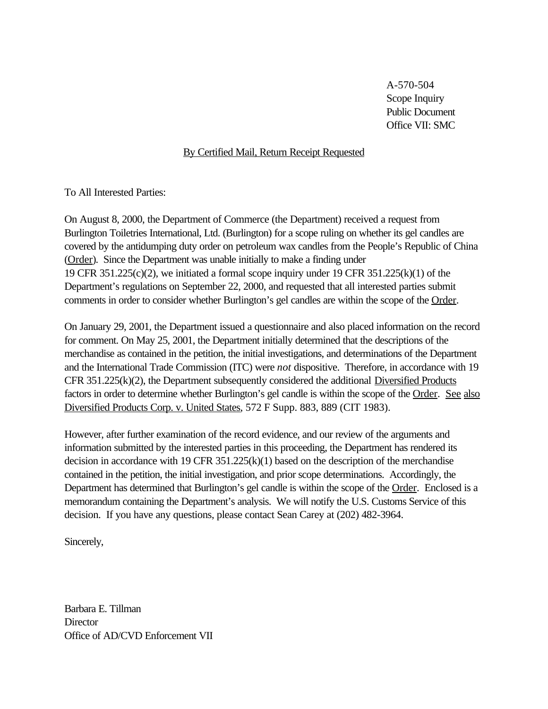A-570-504 Scope Inquiry Public Document Office VII: SMC

# By Certified Mail, Return Receipt Requested

To All Interested Parties:

On August 8, 2000, the Department of Commerce (the Department) received a request from Burlington Toiletries International, Ltd. (Burlington) for a scope ruling on whether its gel candles are covered by the antidumping duty order on petroleum wax candles from the People's Republic of China (Order). Since the Department was unable initially to make a finding under 19 CFR 351.225(c)(2), we initiated a formal scope inquiry under 19 CFR 351.225(k)(1) of the Department's regulations on September 22, 2000, and requested that all interested parties submit comments in order to consider whether Burlington's gel candles are within the scope of the Order.

On January 29, 2001, the Department issued a questionnaire and also placed information on the record for comment. On May 25, 2001, the Department initially determined that the descriptions of the merchandise as contained in the petition, the initial investigations, and determinations of the Department and the International Trade Commission (ITC) were *not* dispositive. Therefore, in accordance with 19 CFR 351.225(k)(2), the Department subsequently considered the additional Diversified Products factors in order to determine whether Burlington's gel candle is within the scope of the Order. See also Diversified Products Corp. v. United States, 572 F Supp. 883, 889 (CIT 1983).

However, after further examination of the record evidence, and our review of the arguments and information submitted by the interested parties in this proceeding, the Department has rendered its decision in accordance with 19 CFR 351.225(k)(1) based on the description of the merchandise contained in the petition, the initial investigation, and prior scope determinations. Accordingly, the Department has determined that Burlington's gel candle is within the scope of the Order. Enclosed is a memorandum containing the Department's analysis. We will notify the U.S. Customs Service of this decision. If you have any questions, please contact Sean Carey at (202) 482-3964.

Sincerely,

Barbara E. Tillman **Director** Office of AD/CVD Enforcement VII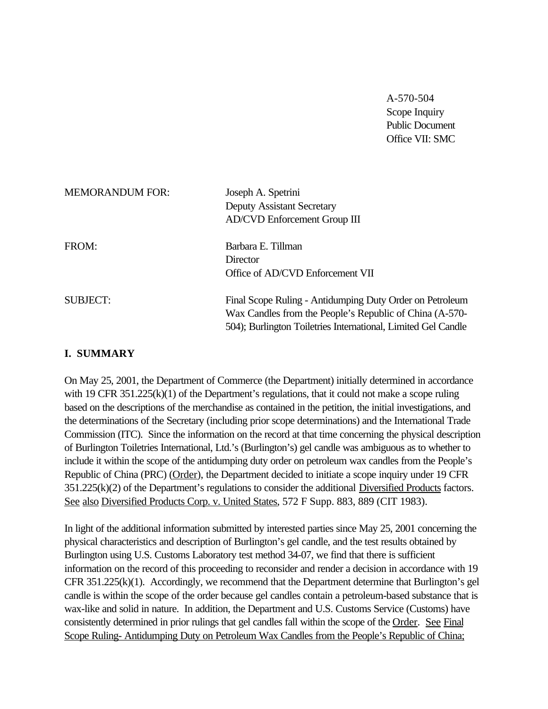A-570-504 Scope Inquiry Public Document Office VII: SMC

| <b>MEMORANDUM FOR:</b> | Joseph A. Spetrini<br><b>Deputy Assistant Secretary</b><br>AD/CVD Enforcement Group III                                                                                              |
|------------------------|--------------------------------------------------------------------------------------------------------------------------------------------------------------------------------------|
| FROM:                  | Barbara E. Tillman<br>Director<br>Office of AD/CVD Enforcement VII                                                                                                                   |
| <b>SUBJECT:</b>        | Final Scope Ruling - Antidumping Duty Order on Petroleum<br>Wax Candles from the People's Republic of China (A-570-<br>504); Burlington Toiletries International, Limited Gel Candle |

# **I. SUMMARY**

On May 25, 2001, the Department of Commerce (the Department) initially determined in accordance with 19 CFR 351.225(k)(1) of the Department's regulations, that it could not make a scope ruling based on the descriptions of the merchandise as contained in the petition, the initial investigations, and the determinations of the Secretary (including prior scope determinations) and the International Trade Commission (ITC). Since the information on the record at that time concerning the physical description of Burlington Toiletries International, Ltd.'s (Burlington's) gel candle was ambiguous as to whether to include it within the scope of the antidumping duty order on petroleum wax candles from the People's Republic of China (PRC) (Order), the Department decided to initiate a scope inquiry under 19 CFR 351.225(k)(2) of the Department's regulations to consider the additional Diversified Products factors. See also Diversified Products Corp. v. United States, 572 F Supp. 883, 889 (CIT 1983).

In light of the additional information submitted by interested parties since May 25, 2001 concerning the physical characteristics and description of Burlington's gel candle, and the test results obtained by Burlington using U.S. Customs Laboratory test method 34-07, we find that there is sufficient information on the record of this proceeding to reconsider and render a decision in accordance with 19 CFR 351.225(k)(1). Accordingly, we recommend that the Department determine that Burlington's gel candle is within the scope of the order because gel candles contain a petroleum-based substance that is wax-like and solid in nature. In addition, the Department and U.S. Customs Service (Customs) have consistently determined in prior rulings that gel candles fall within the scope of the Order. See Final Scope Ruling- Antidumping Duty on Petroleum Wax Candles from the People's Republic of China;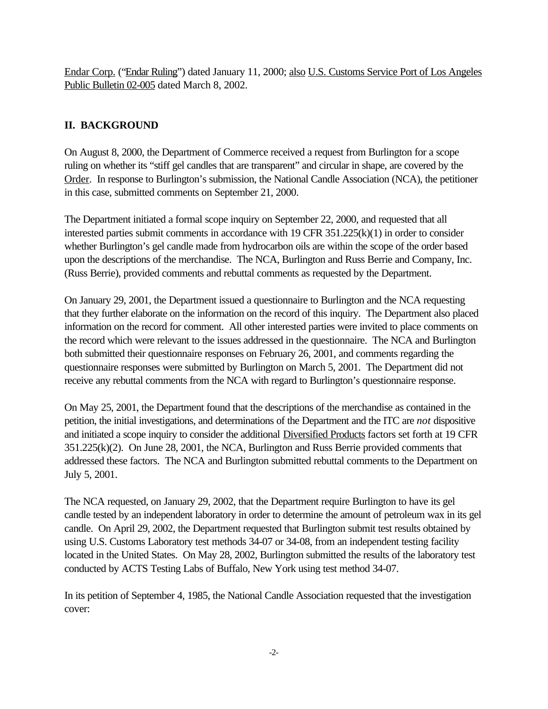Endar Corp. ("Endar Ruling") dated January 11, 2000; also U.S. Customs Service Port of Los Angeles Public Bulletin 02-005 dated March 8, 2002.

# **II. BACKGROUND**

On August 8, 2000, the Department of Commerce received a request from Burlington for a scope ruling on whether its "stiff gel candles that are transparent" and circular in shape, are covered by the Order. In response to Burlington's submission, the National Candle Association (NCA), the petitioner in this case, submitted comments on September 21, 2000.

The Department initiated a formal scope inquiry on September 22, 2000, and requested that all interested parties submit comments in accordance with 19 CFR 351.225(k)(1) in order to consider whether Burlington's gel candle made from hydrocarbon oils are within the scope of the order based upon the descriptions of the merchandise. The NCA, Burlington and Russ Berrie and Company, Inc. (Russ Berrie), provided comments and rebuttal comments as requested by the Department.

On January 29, 2001, the Department issued a questionnaire to Burlington and the NCA requesting that they further elaborate on the information on the record of this inquiry. The Department also placed information on the record for comment. All other interested parties were invited to place comments on the record which were relevant to the issues addressed in the questionnaire. The NCA and Burlington both submitted their questionnaire responses on February 26, 2001, and comments regarding the questionnaire responses were submitted by Burlington on March 5, 2001. The Department did not receive any rebuttal comments from the NCA with regard to Burlington's questionnaire response.

On May 25, 2001, the Department found that the descriptions of the merchandise as contained in the petition, the initial investigations, and determinations of the Department and the ITC are *not* dispositive and initiated a scope inquiry to consider the additional Diversified Products factors set forth at 19 CFR 351.225(k)(2). On June 28, 2001, the NCA, Burlington and Russ Berrie provided comments that addressed these factors. The NCA and Burlington submitted rebuttal comments to the Department on July 5, 2001.

The NCA requested, on January 29, 2002, that the Department require Burlington to have its gel candle tested by an independent laboratory in order to determine the amount of petroleum wax in its gel candle. On April 29, 2002, the Department requested that Burlington submit test results obtained by using U.S. Customs Laboratory test methods 34-07 or 34-08, from an independent testing facility located in the United States. On May 28, 2002, Burlington submitted the results of the laboratory test conducted by ACTS Testing Labs of Buffalo, New York using test method 34-07.

In its petition of September 4, 1985, the National Candle Association requested that the investigation cover: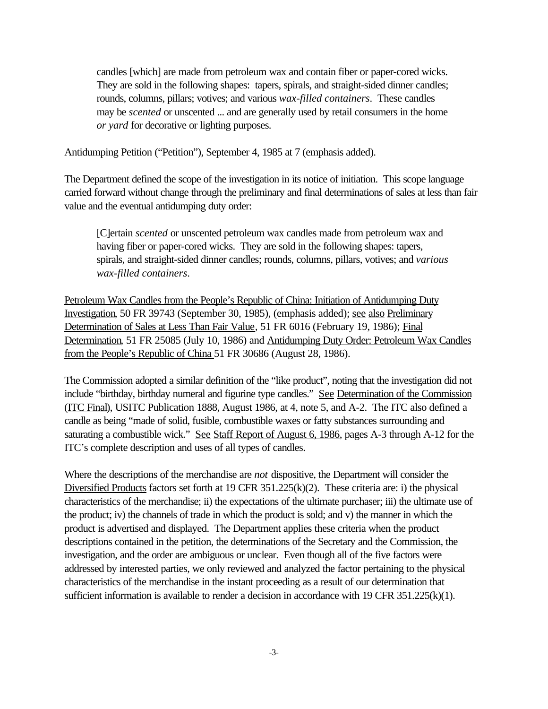candles [which] are made from petroleum wax and contain fiber or paper-cored wicks. They are sold in the following shapes: tapers, spirals, and straight-sided dinner candles; rounds, columns, pillars; votives; and various *wax-filled containers*. These candles may be *scented* or unscented ... and are generally used by retail consumers in the home *or yard* for decorative or lighting purposes.

Antidumping Petition ("Petition"), September 4, 1985 at 7 (emphasis added).

The Department defined the scope of the investigation in its notice of initiation. This scope language carried forward without change through the preliminary and final determinations of sales at less than fair value and the eventual antidumping duty order:

[C]ertain *scented* or unscented petroleum wax candles made from petroleum wax and having fiber or paper-cored wicks. They are sold in the following shapes: tapers, spirals, and straight-sided dinner candles; rounds, columns, pillars, votives; and *various wax-filled containers*.

Petroleum Wax Candles from the People's Republic of China: Initiation of Antidumping Duty Investigation, 50 FR 39743 (September 30, 1985), (emphasis added); see also Preliminary Determination of Sales at Less Than Fair Value*,* 51 FR 6016 (February 19, 1986); Final Determination*,* 51 FR 25085 (July 10, 1986) and Antidumping Duty Order: Petroleum Wax Candles from the People's Republic of China 51 FR 30686 (August 28, 1986).

The Commission adopted a similar definition of the "like product", noting that the investigation did not include "birthday, birthday numeral and figurine type candles." See Determination of the Commission (ITC Final), USITC Publication 1888, August 1986, at 4, note 5, and A-2. The ITC also defined a candle as being "made of solid, fusible, combustible waxes or fatty substances surrounding and saturating a combustible wick." See Staff Report of August 6, 1986, pages A-3 through A-12 for the ITC's complete description and uses of all types of candles.

Where the descriptions of the merchandise are *not* dispositive, the Department will consider the Diversified Products factors set forth at 19 CFR 351.225(k)(2). These criteria are: i) the physical characteristics of the merchandise; ii) the expectations of the ultimate purchaser; iii) the ultimate use of the product; iv) the channels of trade in which the product is sold; and v) the manner in which the product is advertised and displayed. The Department applies these criteria when the product descriptions contained in the petition, the determinations of the Secretary and the Commission, the investigation, and the order are ambiguous or unclear. Even though all of the five factors were addressed by interested parties, we only reviewed and analyzed the factor pertaining to the physical characteristics of the merchandise in the instant proceeding as a result of our determination that sufficient information is available to render a decision in accordance with 19 CFR 351.225(k)(1).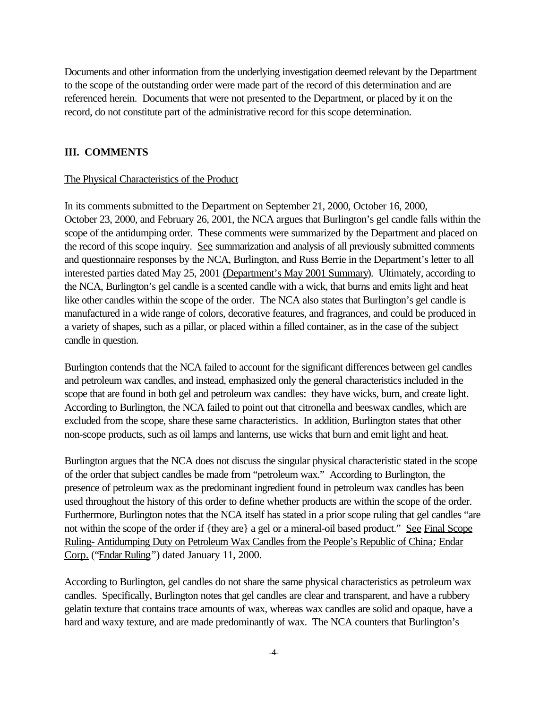Documents and other information from the underlying investigation deemed relevant by the Department to the scope of the outstanding order were made part of the record of this determination and are referenced herein. Documents that were not presented to the Department, or placed by it on the record, do not constitute part of the administrative record for this scope determination.

## **III. COMMENTS**

#### The Physical Characteristics of the Product

In its comments submitted to the Department on September 21, 2000, October 16, 2000, October 23, 2000, and February 26, 2001, the NCA argues that Burlington's gel candle falls within the scope of the antidumping order. These comments were summarized by the Department and placed on the record of this scope inquiry. See summarization and analysis of all previously submitted comments and questionnaire responses by the NCA, Burlington, and Russ Berrie in the Department's letter to all interested parties dated May 25, 2001 (Department's May 2001 Summary). Ultimately, according to the NCA, Burlington's gel candle is a scented candle with a wick, that burns and emits light and heat like other candles within the scope of the order. The NCA also states that Burlington's gel candle is manufactured in a wide range of colors, decorative features, and fragrances, and could be produced in a variety of shapes, such as a pillar, or placed within a filled container, as in the case of the subject candle in question.

Burlington contends that the NCA failed to account for the significant differences between gel candles and petroleum wax candles, and instead, emphasized only the general characteristics included in the scope that are found in both gel and petroleum wax candles: they have wicks, burn, and create light. According to Burlington, the NCA failed to point out that citronella and beeswax candles, which are excluded from the scope, share these same characteristics. In addition, Burlington states that other non-scope products, such as oil lamps and lanterns, use wicks that burn and emit light and heat.

Burlington argues that the NCA does not discuss the singular physical characteristic stated in the scope of the order that subject candles be made from "petroleum wax." According to Burlington, the presence of petroleum wax as the predominant ingredient found in petroleum wax candles has been used throughout the history of this order to define whether products are within the scope of the order. Furthermore, Burlington notes that the NCA itself has stated in a prior scope ruling that gel candles "are not within the scope of the order if {they are} a gel or a mineral-oil based product." See Final Scope Ruling- Antidumping Duty on Petroleum Wax Candles from the People's Republic of China*;* Endar Corp. ("Endar Ruling*"*) dated January 11, 2000.

According to Burlington, gel candles do not share the same physical characteristics as petroleum wax candles. Specifically, Burlington notes that gel candles are clear and transparent, and have a rubbery gelatin texture that contains trace amounts of wax, whereas wax candles are solid and opaque, have a hard and waxy texture, and are made predominantly of wax. The NCA counters that Burlington's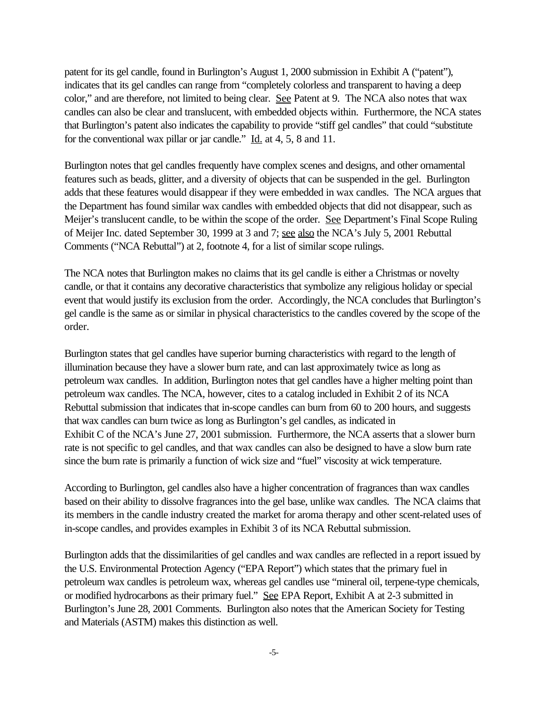patent for its gel candle, found in Burlington's August 1, 2000 submission in Exhibit A ("patent"), indicates that its gel candles can range from "completely colorless and transparent to having a deep color," and are therefore, not limited to being clear. See Patent at 9. The NCA also notes that wax candles can also be clear and translucent, with embedded objects within. Furthermore, the NCA states that Burlington's patent also indicates the capability to provide "stiff gel candles" that could "substitute for the conventional wax pillar or jar candle." Id. at 4, 5, 8 and 11.

Burlington notes that gel candles frequently have complex scenes and designs, and other ornamental features such as beads, glitter, and a diversity of objects that can be suspended in the gel. Burlington adds that these features would disappear if they were embedded in wax candles. The NCA argues that the Department has found similar wax candles with embedded objects that did not disappear, such as Meijer's translucent candle, to be within the scope of the order. See Department's Final Scope Ruling of Meijer Inc. dated September 30, 1999 at 3 and 7; see also the NCA's July 5, 2001 Rebuttal Comments ("NCA Rebuttal") at 2, footnote 4, for a list of similar scope rulings.

The NCA notes that Burlington makes no claims that its gel candle is either a Christmas or novelty candle, or that it contains any decorative characteristics that symbolize any religious holiday or special event that would justify its exclusion from the order. Accordingly, the NCA concludes that Burlington's gel candle is the same as or similar in physical characteristics to the candles covered by the scope of the order.

Burlington states that gel candles have superior burning characteristics with regard to the length of illumination because they have a slower burn rate, and can last approximately twice as long as petroleum wax candles. In addition, Burlington notes that gel candles have a higher melting point than petroleum wax candles. The NCA, however, cites to a catalog included in Exhibit 2 of its NCA Rebuttal submission that indicates that in-scope candles can burn from 60 to 200 hours, and suggests that wax candles can burn twice as long as Burlington's gel candles, as indicated in Exhibit C of the NCA's June 27, 2001 submission. Furthermore, the NCA asserts that a slower burn rate is not specific to gel candles, and that wax candles can also be designed to have a slow burn rate since the burn rate is primarily a function of wick size and "fuel" viscosity at wick temperature.

According to Burlington, gel candles also have a higher concentration of fragrances than wax candles based on their ability to dissolve fragrances into the gel base, unlike wax candles. The NCA claims that its members in the candle industry created the market for aroma therapy and other scent-related uses of in-scope candles, and provides examples in Exhibit 3 of its NCA Rebuttal submission.

Burlington adds that the dissimilarities of gel candles and wax candles are reflected in a report issued by the U.S. Environmental Protection Agency ("EPA Report") which states that the primary fuel in petroleum wax candles is petroleum wax, whereas gel candles use "mineral oil, terpene-type chemicals, or modified hydrocarbons as their primary fuel." See EPA Report, Exhibit A at 2-3 submitted in Burlington's June 28, 2001 Comments. Burlington also notes that the American Society for Testing and Materials (ASTM) makes this distinction as well.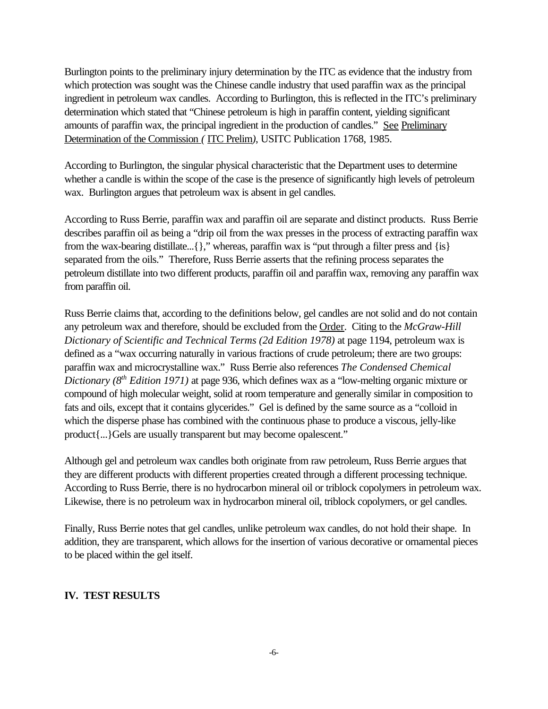Burlington points to the preliminary injury determination by the ITC as evidence that the industry from which protection was sought was the Chinese candle industry that used paraffin wax as the principal ingredient in petroleum wax candles. According to Burlington, this is reflected in the ITC's preliminary determination which stated that "Chinese petroleum is high in paraffin content, yielding significant amounts of paraffin wax, the principal ingredient in the production of candles." See Preliminary Determination of the Commission *(* ITC Prelim*)*, USITC Publication 1768, 1985.

According to Burlington, the singular physical characteristic that the Department uses to determine whether a candle is within the scope of the case is the presence of significantly high levels of petroleum wax. Burlington argues that petroleum wax is absent in gel candles.

According to Russ Berrie, paraffin wax and paraffin oil are separate and distinct products. Russ Berrie describes paraffin oil as being a "drip oil from the wax presses in the process of extracting paraffin wax from the wax-bearing distillate...{}," whereas, paraffin wax is "put through a filter press and {is} separated from the oils." Therefore, Russ Berrie asserts that the refining process separates the petroleum distillate into two different products, paraffin oil and paraffin wax, removing any paraffin wax from paraffin oil.

Russ Berrie claims that, according to the definitions below, gel candles are not solid and do not contain any petroleum wax and therefore, should be excluded from the Order. Citing to the *McGraw-Hill Dictionary of Scientific and Technical Terms (2d Edition 1978)* at page 1194, petroleum wax is defined as a "wax occurring naturally in various fractions of crude petroleum; there are two groups: paraffin wax and microcrystalline wax." Russ Berrie also references *The Condensed Chemical Dictionary (8th Edition 1971)* at page 936, which defines wax as a "low-melting organic mixture or compound of high molecular weight, solid at room temperature and generally similar in composition to fats and oils, except that it contains glycerides." Gel is defined by the same source as a "colloid in which the disperse phase has combined with the continuous phase to produce a viscous, jelly-like product{...}Gels are usually transparent but may become opalescent."

Although gel and petroleum wax candles both originate from raw petroleum, Russ Berrie argues that they are different products with different properties created through a different processing technique. According to Russ Berrie, there is no hydrocarbon mineral oil or triblock copolymers in petroleum wax. Likewise, there is no petroleum wax in hydrocarbon mineral oil, triblock copolymers, or gel candles.

Finally, Russ Berrie notes that gel candles, unlike petroleum wax candles, do not hold their shape. In addition, they are transparent, which allows for the insertion of various decorative or ornamental pieces to be placed within the gel itself.

## **IV. TEST RESULTS**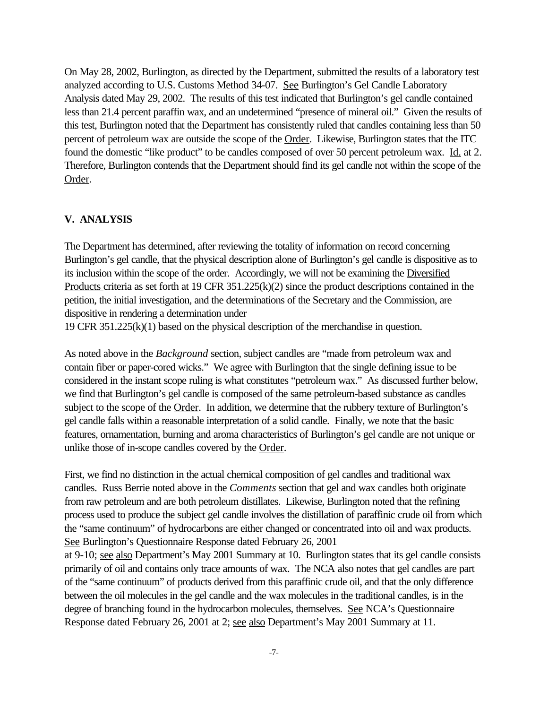On May 28, 2002, Burlington, as directed by the Department, submitted the results of a laboratory test analyzed according to U.S. Customs Method 34-07. See Burlington's Gel Candle Laboratory Analysis dated May 29, 2002. The results of this test indicated that Burlington's gel candle contained less than 21.4 percent paraffin wax, and an undetermined "presence of mineral oil." Given the results of this test, Burlington noted that the Department has consistently ruled that candles containing less than 50 percent of petroleum wax are outside the scope of the Order. Likewise, Burlington states that the ITC found the domestic "like product" to be candles composed of over 50 percent petroleum wax. Id. at 2. Therefore, Burlington contends that the Department should find its gel candle not within the scope of the Order.

#### **V. ANALYSIS**

The Department has determined, after reviewing the totality of information on record concerning Burlington's gel candle, that the physical description alone of Burlington's gel candle is dispositive as to its inclusion within the scope of the order. Accordingly, we will not be examining the Diversified Products criteria as set forth at 19 CFR 351.225(k)(2) since the product descriptions contained in the petition, the initial investigation, and the determinations of the Secretary and the Commission, are dispositive in rendering a determination under

19 CFR 351.225(k)(1) based on the physical description of the merchandise in question.

As noted above in the *Background* section, subject candles are "made from petroleum wax and contain fiber or paper-cored wicks." We agree with Burlington that the single defining issue to be considered in the instant scope ruling is what constitutes "petroleum wax." As discussed further below, we find that Burlington's gel candle is composed of the same petroleum-based substance as candles subject to the scope of the Order. In addition, we determine that the rubbery texture of Burlington's gel candle falls within a reasonable interpretation of a solid candle. Finally, we note that the basic features, ornamentation, burning and aroma characteristics of Burlington's gel candle are not unique or unlike those of in-scope candles covered by the Order.

First, we find no distinction in the actual chemical composition of gel candles and traditional wax candles. Russ Berrie noted above in the *Comments* section that gel and wax candles both originate from raw petroleum and are both petroleum distillates. Likewise, Burlington noted that the refining process used to produce the subject gel candle involves the distillation of paraffinic crude oil from which the "same continuum" of hydrocarbons are either changed or concentrated into oil and wax products. See Burlington's Questionnaire Response dated February 26, 2001

at 9-10; see also Department's May 2001 Summary at 10. Burlington states that its gel candle consists primarily of oil and contains only trace amounts of wax. The NCA also notes that gel candles are part of the "same continuum" of products derived from this paraffinic crude oil, and that the only difference between the oil molecules in the gel candle and the wax molecules in the traditional candles, is in the degree of branching found in the hydrocarbon molecules, themselves. See NCA's Questionnaire Response dated February 26, 2001 at 2; see also Department's May 2001 Summary at 11.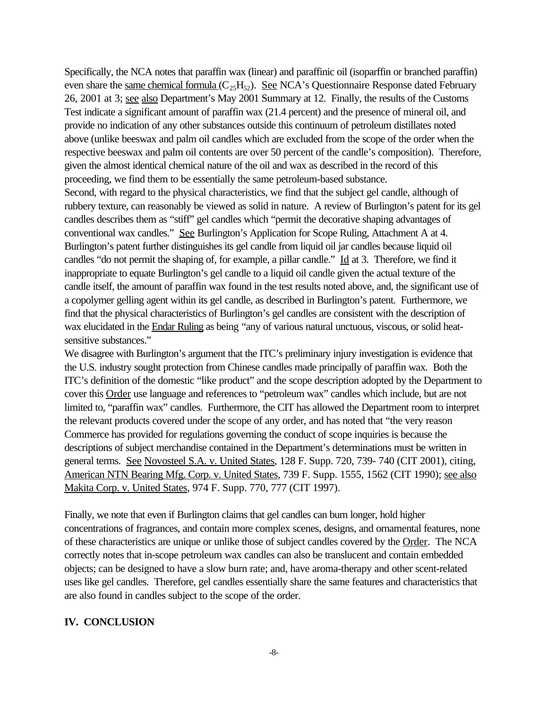Specifically, the NCA notes that paraffin wax (linear) and paraffinic oil (isoparffin or branched paraffin) even share the same chemical formula  $(C_2,H_5)$ . See NCA's Questionnaire Response dated February 26, 2001 at 3; see also Department's May 2001 Summary at 12. Finally, the results of the Customs Test indicate a significant amount of paraffin wax (21.4 percent) and the presence of mineral oil, and provide no indication of any other substances outside this continuum of petroleum distillates noted above (unlike beeswax and palm oil candles which are excluded from the scope of the order when the respective beeswax and palm oil contents are over 50 percent of the candle's composition). Therefore, given the almost identical chemical nature of the oil and wax as described in the record of this proceeding, we find them to be essentially the same petroleum-based substance.

Second, with regard to the physical characteristics, we find that the subject gel candle, although of rubbery texture, can reasonably be viewed as solid in nature. A review of Burlington's patent for its gel candles describes them as "stiff" gel candles which "permit the decorative shaping advantages of conventional wax candles." See Burlington's Application for Scope Ruling, Attachment A at 4. Burlington's patent further distinguishes its gel candle from liquid oil jar candles because liquid oil candles "do not permit the shaping of, for example, a pillar candle." Id at 3. Therefore, we find it inappropriate to equate Burlington's gel candle to a liquid oil candle given the actual texture of the candle itself, the amount of paraffin wax found in the test results noted above, and, the significant use of a copolymer gelling agent within its gel candle, as described in Burlington's patent. Furthermore, we find that the physical characteristics of Burlington's gel candles are consistent with the description of wax elucidated in the Endar Ruling as being "any of various natural unctuous, viscous, or solid heatsensitive substances."

We disagree with Burlington's argument that the ITC's preliminary injury investigation is evidence that the U.S. industry sought protection from Chinese candles made principally of paraffin wax. Both the ITC's definition of the domestic "like product" and the scope description adopted by the Department to cover this Order use language and references to "petroleum wax" candles which include, but are not limited to, "paraffin wax" candles. Furthermore, the CIT has allowed the Department room to interpret the relevant products covered under the scope of any order, and has noted that "the very reason Commerce has provided for regulations governing the conduct of scope inquiries is because the descriptions of subject merchandise contained in the Department's determinations must be written in general terms. See Novosteel S.A. v. United States, 128 F. Supp. 720, 739- 740 (CIT 2001), citing, American NTN Bearing Mfg. Corp. v. United States, 739 F. Supp. 1555, 1562 (CIT 1990); see also Makita Corp. v. United States, 974 F. Supp. 770, 777 (CIT 1997).

Finally, we note that even if Burlington claims that gel candles can burn longer, hold higher concentrations of fragrances, and contain more complex scenes, designs, and ornamental features, none of these characteristics are unique or unlike those of subject candles covered by the Order. The NCA correctly notes that in-scope petroleum wax candles can also be translucent and contain embedded objects; can be designed to have a slow burn rate; and, have aroma-therapy and other scent-related uses like gel candles. Therefore, gel candles essentially share the same features and characteristics that are also found in candles subject to the scope of the order.

## **IV. CONCLUSION**